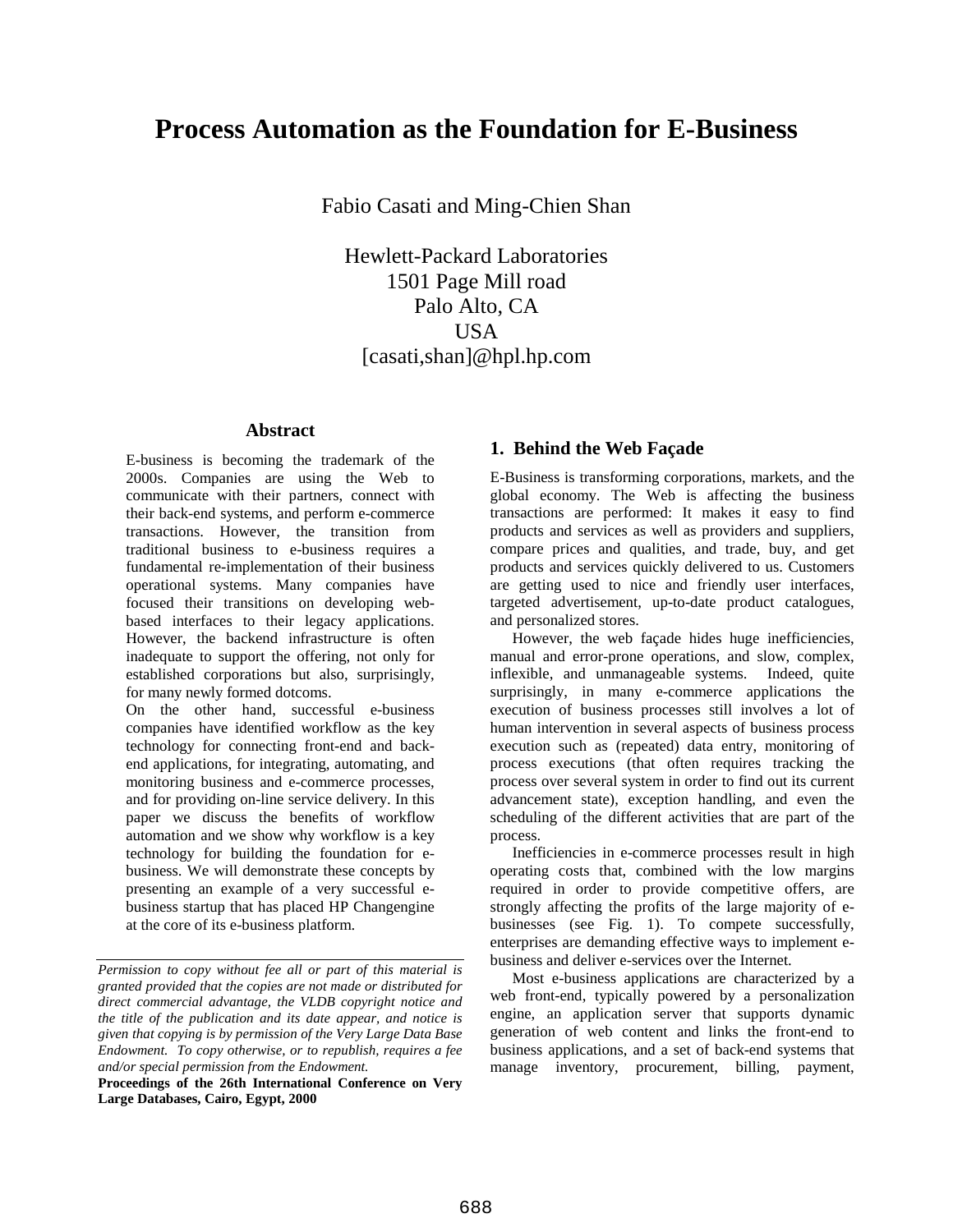# **Process Automation as the Foundation for E-Business**

Fabio Casati and Ming-Chien Shan

Hewlett-Packard Laboratories 1501 Page Mill road Palo Alto, CA **USA** [casati,shan]@hpl.hp.com

#### **Abstract**

E-business is becoming the trademark of the 2000s. Companies are using the Web to communicate with their partners, connect with their back-end systems, and perform e-commerce transactions. However, the transition from traditional business to e-business requires a fundamental re-implementation of their business operational systems. Many companies have focused their transitions on developing webbased interfaces to their legacy applications. However, the backend infrastructure is often inadequate to support the offering, not only for established corporations but also, surprisingly, for many newly formed dotcoms.

On the other hand, successful e-business companies have identified workflow as the key technology for connecting front-end and backend applications, for integrating, automating, and monitoring business and e-commerce processes, and for providing on-line service delivery. In this paper we discuss the benefits of workflow automation and we show why workflow is a key technology for building the foundation for ebusiness. We will demonstrate these concepts by presenting an example of a very successful ebusiness startup that has placed HP Changengine at the core of its e-business platform.

**Proceedings of the 26th International Conference on Very Large Databases, Cairo, Egypt, 2000**

#### **1. Behind the Web Façade**

E-Business is transforming corporations, markets, and the global economy. The Web is affecting the business transactions are performed: It makes it easy to find products and services as well as providers and suppliers, compare prices and qualities, and trade, buy, and get products and services quickly delivered to us. Customers are getting used to nice and friendly user interfaces, targeted advertisement, up-to-date product catalogues, and personalized stores.

However, the web façade hides huge inefficiencies, manual and error-prone operations, and slow, complex, inflexible, and unmanageable systems. Indeed, quite surprisingly, in many e-commerce applications the execution of business processes still involves a lot of human intervention in several aspects of business process execution such as (repeated) data entry, monitoring of process executions (that often requires tracking the process over several system in order to find out its current advancement state), exception handling, and even the scheduling of the different activities that are part of the process.

Inefficiencies in e-commerce processes result in high operating costs that, combined with the low margins required in order to provide competitive offers, are strongly affecting the profits of the large majority of ebusinesses (see Fig. 1). To compete successfully, enterprises are demanding effective ways to implement ebusiness and deliver e-services over the Internet.

Most e-business applications are characterized by a web front-end, typically powered by a personalization engine, an application server that supports dynamic generation of web content and links the front-end to business applications, and a set of back-end systems that manage inventory, procurement, billing, payment,

*Permission to copy without fee all or part of this material is granted provided that the copies are not made or distributed for direct commercial advantage, the VLDB copyright notice and the title of the publication and its date appear, and notice is given that copying is by permission of the Very Large Data Base Endowment. To copy otherwise, or to republish, requires a fee and/or special permission from the Endowment.*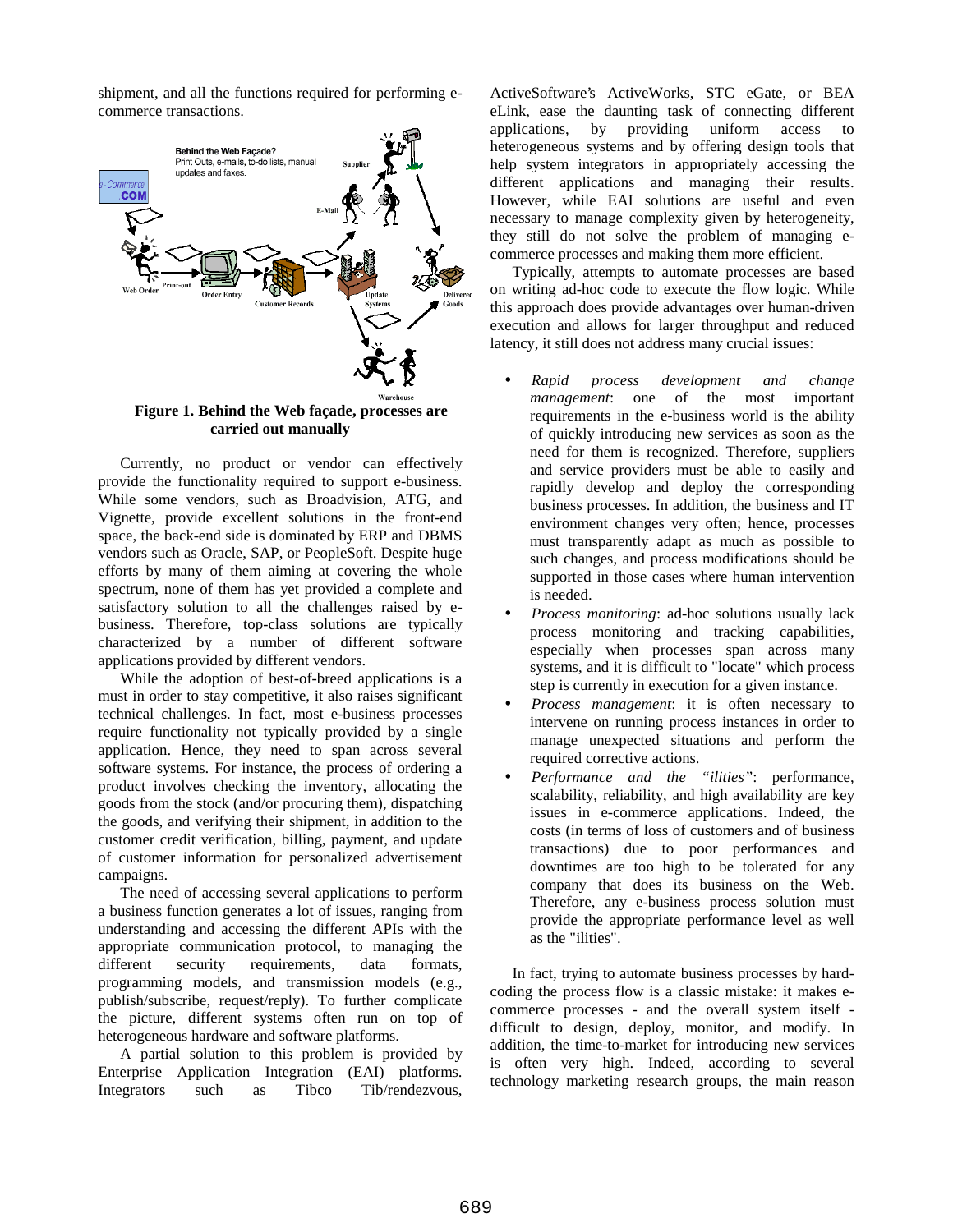shipment, and all the functions required for performing ecommerce transactions.



**carried out manually**

Currently, no product or vendor can effectively provide the functionality required to support e-business. While some vendors, such as Broadvision, ATG, and Vignette, provide excellent solutions in the front-end space, the back-end side is dominated by ERP and DBMS vendors such as Oracle, SAP, or PeopleSoft. Despite huge efforts by many of them aiming at covering the whole spectrum, none of them has yet provided a complete and satisfactory solution to all the challenges raised by ebusiness. Therefore, top-class solutions are typically characterized by a number of different software applications provided by different vendors.

While the adoption of best-of-breed applications is a must in order to stay competitive, it also raises significant technical challenges. In fact, most e-business processes require functionality not typically provided by a single application. Hence, they need to span across several software systems. For instance, the process of ordering a product involves checking the inventory, allocating the goods from the stock (and/or procuring them), dispatching the goods, and verifying their shipment, in addition to the customer credit verification, billing, payment, and update of customer information for personalized advertisement campaigns.

The need of accessing several applications to perform a business function generates a lot of issues, ranging from understanding and accessing the different APIs with the appropriate communication protocol, to managing the different security requirements, data formats, programming models, and transmission models (e.g., publish/subscribe, request/reply). To further complicate the picture, different systems often run on top of heterogeneous hardware and software platforms.

A partial solution to this problem is provided by Enterprise Application Integration (EAI) platforms. Integrators such as Tibco Tib/rendezvous,

ActiveSoftware's ActiveWorks, STC eGate, or BEA eLink, ease the daunting task of connecting different applications, by providing uniform access to heterogeneous systems and by offering design tools that help system integrators in appropriately accessing the different applications and managing their results. However, while EAI solutions are useful and even necessary to manage complexity given by heterogeneity, they still do not solve the problem of managing ecommerce processes and making them more efficient.

Typically, attempts to automate processes are based on writing ad-hoc code to execute the flow logic. While this approach does provide advantages over human-driven execution and allows for larger throughput and reduced latency, it still does not address many crucial issues:

- *Rapid process development and change management*: one of the most important requirements in the e-business world is the ability of quickly introducing new services as soon as the need for them is recognized. Therefore, suppliers and service providers must be able to easily and rapidly develop and deploy the corresponding business processes. In addition, the business and IT environment changes very often; hence, processes must transparently adapt as much as possible to such changes, and process modifications should be supported in those cases where human intervention is needed.
- *Process monitoring*: ad-hoc solutions usually lack process monitoring and tracking capabilities, especially when processes span across many systems, and it is difficult to "locate" which process step is currently in execution for a given instance.
- *Process management*: it is often necessary to intervene on running process instances in order to manage unexpected situations and perform the required corrective actions.
- *Performance and the "ilities"*: performance, scalability, reliability, and high availability are key issues in e-commerce applications. Indeed, the costs (in terms of loss of customers and of business transactions) due to poor performances and downtimes are too high to be tolerated for any company that does its business on the Web. Therefore, any e-business process solution must provide the appropriate performance level as well as the "ilities".

In fact, trying to automate business processes by hardcoding the process flow is a classic mistake: it makes ecommerce processes - and the overall system itself difficult to design, deploy, monitor, and modify. In addition, the time-to-market for introducing new services is often very high. Indeed, according to several technology marketing research groups, the main reason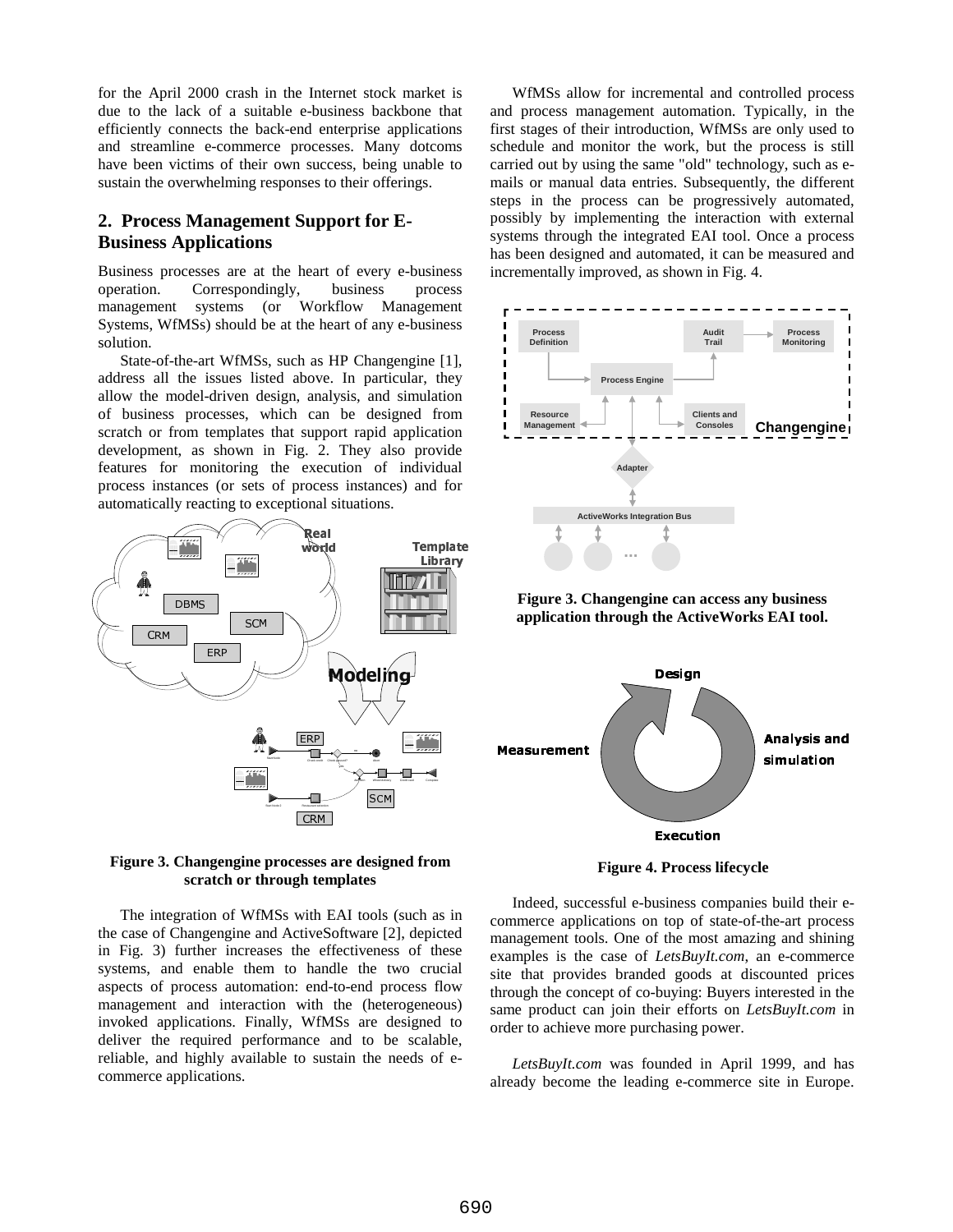for the April 2000 crash in the Internet stock market is due to the lack of a suitable e-business backbone that efficiently connects the back-end enterprise applications and streamline e-commerce processes. Many dotcoms have been victims of their own success, being unable to sustain the overwhelming responses to their offerings.

## **2. Process Management Support for E-Business Applications**

Business processes are at the heart of every e-business operation. Correspondingly, business process management systems (or Workflow Management Systems, WfMSs) should be at the heart of any e-business solution.

State-of-the-art WfMSs, such as HP Changengine [1], address all the issues listed above. In particular, they allow the model-driven design, analysis, and simulation of business processes, which can be designed from scratch or from templates that support rapid application development, as shown in Fig. 2. They also provide features for monitoring the execution of individual process instances (or sets of process instances) and for automatically reacting to exceptional situations.



#### **Figure 3. Changengine processes are designed from scratch or through templates**

The integration of WfMSs with EAI tools (such as in the case of Changengine and ActiveSoftware [2], depicted in Fig. 3) further increases the effectiveness of these systems, and enable them to handle the two crucial aspects of process automation: end-to-end process flow management and interaction with the (heterogeneous) invoked applications. Finally, WfMSs are designed to deliver the required performance and to be scalable, reliable, and highly available to sustain the needs of ecommerce applications.

WfMSs allow for incremental and controlled process and process management automation. Typically, in the first stages of their introduction, WfMSs are only used to schedule and monitor the work, but the process is still carried out by using the same "old" technology, such as emails or manual data entries. Subsequently, the different steps in the process can be progressively automated, possibly by implementing the interaction with external systems through the integrated EAI tool. Once a process has been designed and automated, it can be measured and incrementally improved, as shown in Fig. 4.



**Figure 3. Changengine can access any business application through the ActiveWorks EAI tool.**



**Figure 4. Process lifecycle**

Indeed, successful e-business companies build their ecommerce applications on top of state-of-the-art process management tools. One of the most amazing and shining examples is the case of *LetsBuyIt.com*, an e-commerce site that provides branded goods at discounted prices through the concept of co-buying: Buyers interested in the same product can join their efforts on *LetsBuyIt.com* in order to achieve more purchasing power.

*LetsBuyIt.com* was founded in April 1999, and has already become the leading e-commerce site in Europe.